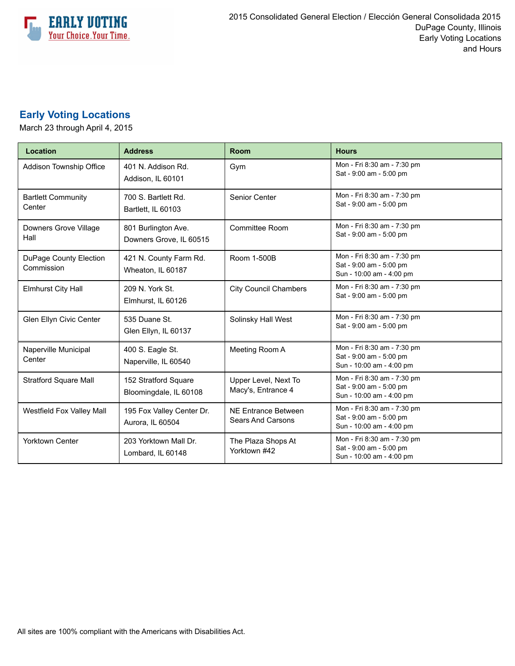

## **Early Voting Locations**

March 23 through April 4, 2015

| Location                             | <b>Address</b>                                 | Room                                                   | <b>Hours</b>                                                                       |
|--------------------------------------|------------------------------------------------|--------------------------------------------------------|------------------------------------------------------------------------------------|
| Addison Township Office              | 401 N. Addison Rd.<br>Addison, IL 60101        | Gym                                                    | Mon - Fri 8:30 am - 7:30 pm<br>Sat - 9:00 am - 5:00 pm                             |
| <b>Bartlett Community</b><br>Center  | 700 S. Bartlett Rd.<br>Bartlett, IL 60103      | Senior Center                                          | Mon - Fri 8:30 am - 7:30 pm<br>Sat - 9:00 am - 5:00 pm                             |
| Downers Grove Village<br>Hall        | 801 Burlington Ave.<br>Downers Grove, IL 60515 | Committee Room                                         | Mon - Fri 8:30 am - 7:30 pm<br>Sat - 9:00 am - 5:00 pm                             |
| DuPage County Election<br>Commission | 421 N. County Farm Rd.<br>Wheaton, IL 60187    | Room 1-500B                                            | Mon - Fri 8:30 am - 7:30 pm<br>Sat - 9:00 am - 5:00 pm<br>Sun - 10:00 am - 4:00 pm |
| <b>Elmhurst City Hall</b>            | 209 N. York St.<br>Elmhurst, IL 60126          | <b>City Council Chambers</b>                           | Mon - Fri 8:30 am - 7:30 pm<br>Sat - 9:00 am - 5:00 pm                             |
| Glen Ellyn Civic Center              | 535 Duane St.<br>Glen Ellyn, IL 60137          | Solinsky Hall West                                     | Mon - Fri 8:30 am - 7:30 pm<br>Sat - 9:00 am - 5:00 pm                             |
| Naperville Municipal<br>Center       | 400 S. Eagle St.<br>Naperville, IL 60540       | Meeting Room A                                         | Mon - Fri 8:30 am - 7:30 pm<br>Sat - 9:00 am - 5:00 pm<br>Sun - 10:00 am - 4:00 pm |
| <b>Stratford Square Mall</b>         | 152 Stratford Square<br>Bloomingdale, IL 60108 | Upper Level, Next To<br>Macy's, Entrance 4             | Mon - Fri 8:30 am - 7:30 pm<br>Sat - 9:00 am - 5:00 pm<br>Sun - 10:00 am - 4:00 pm |
| Westfield Fox Valley Mall            | 195 Fox Valley Center Dr.<br>Aurora, IL 60504  | <b>NE Entrance Between</b><br><b>Sears And Carsons</b> | Mon - Fri 8:30 am - 7:30 pm<br>Sat - 9:00 am - 5:00 pm<br>Sun - 10:00 am - 4:00 pm |
| <b>Yorktown Center</b>               | 203 Yorktown Mall Dr.<br>Lombard, IL 60148     | The Plaza Shops At<br>Yorktown #42                     | Mon - Fri 8:30 am - 7:30 pm<br>Sat - 9:00 am - 5:00 pm<br>Sun - 10:00 am - 4:00 pm |